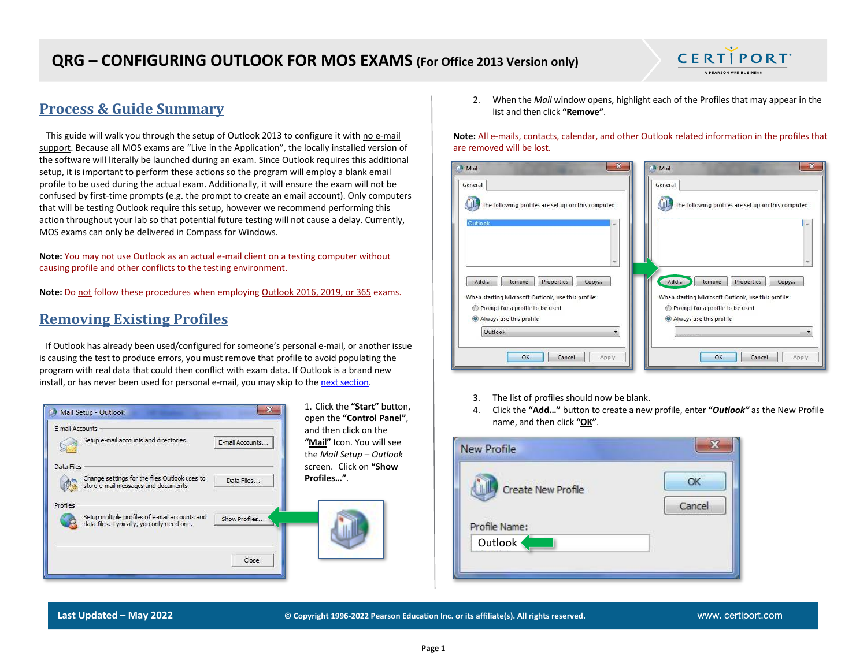

This guide will walk you through the setup of Outlook 2013 to configure it with no e-mail support. Because all MOS exams are "Live in the Application", the locally installed version of the software will literally be launched during an exam. Since Outlook requires this additional setup, it is important to perform these actions so the program will employ a blank email profile to be used during the actual exam. Additionally, it will ensure the exam will not be confused by first-time prompts (e.g. the prompt to create an email account). Only computers that will be testing Outlook require this setup, however we recommend performing this action throughout your lab so that potential future testing will not cause a delay. Currently, MOS exams can only be delivered in Compass for Windows.

**Note:** You may not use Outlook as an actual e-mail client on a testing computer without causing profile and other conflicts to the testing environment.

**Note:** Do not follow these procedures when employing Outlook 2016, 2019, or 365 exams.

#### <span id="page-0-0"></span>**Removing Existing Profiles**

 If Outlook has already been used/configured for someone's personal e-mail, or another issue is causing the test to produce errors, you must remove that profile to avoid populating the program with real data that could then conflict with exam data. If Outlook is a brand new install, or has never been used for personal e-mail, you may skip to th[e next section.](#page-1-0)

| Mail Setup - Outlook                                                                                                     | 1. Click the "Start" button,<br>x<br>open the "Control Panel",                   |
|--------------------------------------------------------------------------------------------------------------------------|----------------------------------------------------------------------------------|
| E-mail Accounts<br>Setup e-mail accounts and directories.<br>E-mail Accounts                                             | and then click on the<br>"Mail" Icon. You will see<br>the Mail Setup $-$ Outlook |
| Data Files<br>Change settings for the files Outlook uses to<br>Data Files<br>store e-mail messages and documents.        | screen. Click on "Show<br>Profiles".                                             |
| Profiles<br>Setup multiple profiles of e-mail accounts and<br>Show Profiles<br>data files. Typically, you only need one. |                                                                                  |
| Close                                                                                                                    |                                                                                  |

2. When the *Mail* window opens, highlight each of the Profiles that may appear in the list and then click **"Remove"**.

**CERTIPORT** A PEARSON VUE BUSINESS

**Note:** All e-mails, contacts, calendar, and other Outlook related information in the profiles that are removed will be lost.

| $\mathbf{x}$<br>Mail<br>General                                                                         | $\mathbf{x}$<br>Mail<br>General                                                       |
|---------------------------------------------------------------------------------------------------------|---------------------------------------------------------------------------------------|
| The following profiles are set up on this computer:                                                     | The following profiles are set up on this computer:                                   |
| Outlook<br>×                                                                                            | $\mathcal{A}_n$                                                                       |
| ÷                                                                                                       |                                                                                       |
| Add<br>Properties<br>Copy<br>Remove                                                                     | Add<br>Remove<br>Properties<br>Copy                                                   |
| When starting Microsoft Outlook, use this profile:<br>Prompt for a profile to be used<br>$\circledcirc$ | When starting Microsoft Outlook, use this profile:<br>Prompt for a profile to be used |
| Always use this profile<br>Outlook<br>۰                                                                 | Always use this profile                                                               |
| OK<br>Cancel<br>Apply                                                                                   | OK<br>Cancel<br>Apply                                                                 |

- 3. The list of profiles should now be blank.
- 4. Click the **"Add…"** button to create a new profile, enter **"***Outlook"* as the New Profile name, and then click **"OK"**.



**Last Updated – May 2022 © Copyright 1996-2022 Pearson Education Inc. or its affiliate(s). All rights reserved.**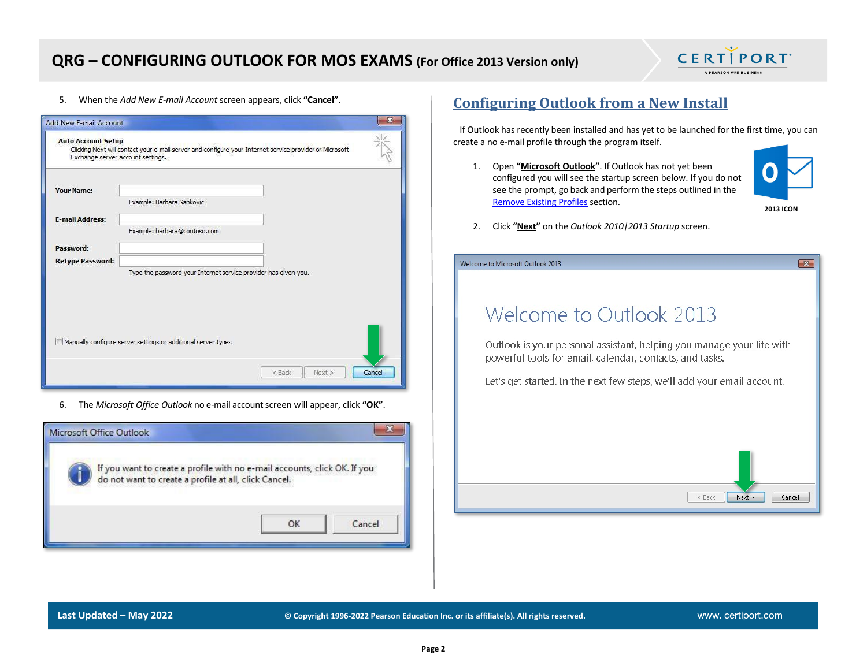

5. When the *Add New E-mail Account* screen appears, click **"Cancel"**.

| <b>Auto Account Setup</b><br>Exchange server account settings. | Clicking Next will contact your e-mail server and configure your Internet service provider or Microsoft |        |
|----------------------------------------------------------------|---------------------------------------------------------------------------------------------------------|--------|
| <b>Your Name:</b>                                              | Example: Barbara Sankovic                                                                               |        |
| <b>E-mail Address:</b>                                         | Example: barbara@contoso.com                                                                            |        |
| Password:<br><b>Retype Password:</b>                           |                                                                                                         |        |
|                                                                | Type the password your Internet service provider has given you.                                         |        |
|                                                                | Manually configure server settings or additional server types                                           |        |
|                                                                | < Back<br>Next >                                                                                        | Cancel |

6. The *Microsoft Office Outlook* no e-mail account screen will appear, click **"OK"**.



#### <span id="page-1-0"></span>**Configuring Outlook from a New Install**

 If Outlook has recently been installed and has yet to be launched for the first time, you can create a no e-mail profile through the program itself.

1. Open **"Microsoft Outlook"**. If Outlook has not yet been configured you will see the startup screen below. If you do not see the prompt, go back and perform the steps outlined in the [Remove Existing Profiles](#page-0-0) section.



 $\overline{\mathbf{x}}$ 

2. Click **"Next"** on the *Outlook 2010|2013 Startup* screen.

| lcome to Microsoft Outlook 2013: |  |
|----------------------------------|--|
|----------------------------------|--|

# Welcome to Outlook 2013

Outlook is your personal assistant, helping you manage your life with powerful tools for email, calendar, contacts, and tasks.

Let's get started. In the next few steps, we'll add your email account.

**Last Updated – May 2022 © Copyright 1996-2022 Pearson Education Inc. or its affiliate(s). All rights reserved.**

 $Next >$ 

Cancel

 $<$  Back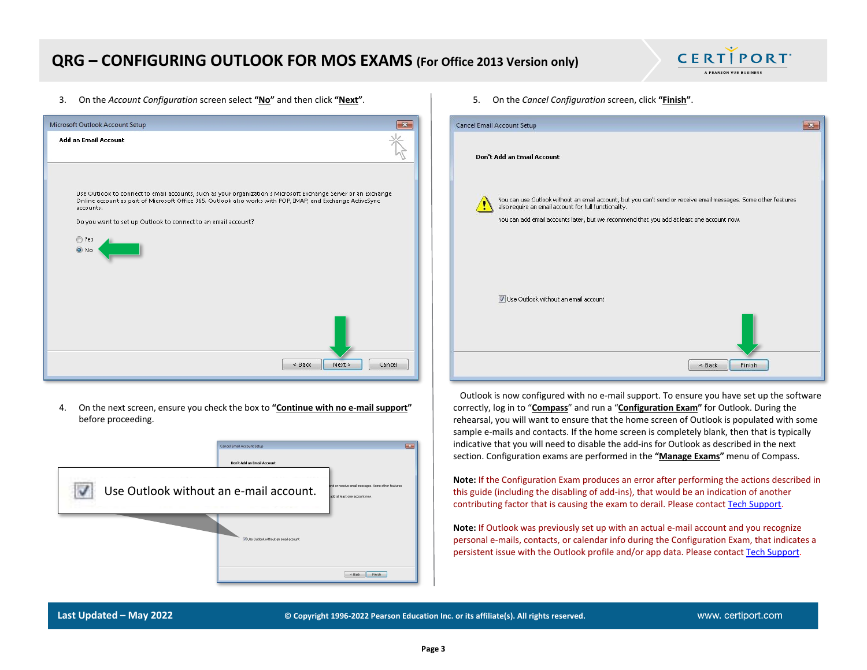

3. On the *Account Configuration* screen select **"No"** and then click **"Next"**.



4. On the next screen, ensure you check the box to **"Continue with no e-mail support"** before proceeding.

|                                        | Cancel Email Account Setup             | $-x$                                                                                |
|----------------------------------------|----------------------------------------|-------------------------------------------------------------------------------------|
|                                        | Don't Add an Email Account             |                                                                                     |
| Use Outlook without an e-mail account. |                                        | and or receive email messages. Some other features<br>add at least one account now. |
|                                        | V Use Outlook without an email account |                                                                                     |
|                                        |                                        | <b>Finish</b><br>$\times$ Back                                                      |

5. On the *Cancel Configuration* screen, click **"Finish"**.

| Cancel Email Account Setup                                                                                                                                                                                                                                            |
|-----------------------------------------------------------------------------------------------------------------------------------------------------------------------------------------------------------------------------------------------------------------------|
| Don't Add an Email Account                                                                                                                                                                                                                                            |
| You can use Outlook without an email account, but you can't send or receive email messages. Some other features<br>also require an email account for full functionality.<br>You can add email accounts later, but we recommend that you add at least one account now. |
| Use Outlook without an email account                                                                                                                                                                                                                                  |
| Finish<br>$<$ Back                                                                                                                                                                                                                                                    |

 Outlook is now configured with no e-mail support. To ensure you have set up the software correctly, log in to "**Compass**" and run a "**Configuration Exam"** for Outlook. During the rehearsal, you will want to ensure that the home screen of Outlook is populated with some sample e-mails and contacts. If the home screen is completely blank, then that is typically indicative that you will need to disable the add-ins for Outlook as described in the next section. Configuration exams are performed in the **"Manage Exams"** menu of Compass.

**Note:** If the Configuration Exam produces an error after performing the actions described in this guide (including the disabling of add-ins), that would be an indication of another contributing factor that is causing the exam to derail. Please contact [Tech Support.](https://certiport.pearsonvue.com/Support.aspx)

**Note:** If Outlook was previously set up with an actual e-mail account and you recognize personal e-mails, contacts, or calendar info during the Configuration Exam, that indicates a persistent issue with the Outlook profile and/or app data. Please contac[t Tech Support.](https://certiport.pearsonvue.com/Support.aspx)

**Last Updated – May 2022 © Copyright 1996-2022 Pearson Education Inc. or its affiliate(s). All rights reserved.**